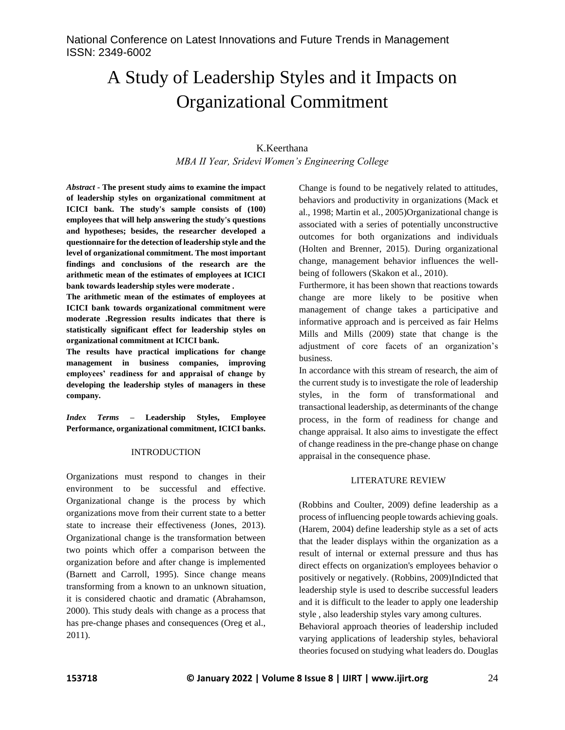# A Study of Leadership Styles and it Impacts on Organizational Commitment

## K.Keerthana *MBA II Year, Sridevi Women's Engineering College*

*Abstract -* **The present study aims to examine the impact of leadership styles on organizational commitment at ICICI bank. The study's sample consists of (100) employees that will help answering the study's questions and hypotheses; besides, the researcher developed a questionnaire for the detection of leadership style and the level of organizational commitment. The most important findings and conclusions of the research are the arithmetic mean of the estimates of employees at ICICI bank towards leadership styles were moderate .**

**The arithmetic mean of the estimates of employees at ICICI bank towards organizational commitment were moderate .Regression results indicates that there is statistically significant effect for leadership styles on organizational commitment at ICICI bank.** 

**The results have practical implications for change management in business companies, improving employees' readiness for and appraisal of change by developing the leadership styles of managers in these company.**

*Index Terms –* **Leadership Styles, Employee Performance, organizational commitment, ICICI banks.**

#### INTRODUCTION

Organizations must respond to changes in their environment to be successful and effective. Organizational change is the process by which organizations move from their current state to a better state to increase their effectiveness (Jones, 2013). Organizational change is the transformation between two points which offer a comparison between the organization before and after change is implemented (Barnett and Carroll, 1995). Since change means transforming from a known to an unknown situation, it is considered chaotic and dramatic (Abrahamson, 2000). This study deals with change as a process that has pre-change phases and consequences (Oreg et al., 2011).

Change is found to be negatively related to attitudes, behaviors and productivity in organizations (Mack et al., 1998; Martin et al., 2005)Organizational change is associated with a series of potentially unconstructive outcomes for both organizations and individuals (Holten and Brenner, 2015). During organizational change, management behavior influences the wellbeing of followers (Skakon et al., 2010).

Furthermore, it has been shown that reactions towards change are more likely to be positive when management of change takes a participative and informative approach and is perceived as fair Helms Mills and Mills (2009) state that change is the adjustment of core facets of an organization's business.

In accordance with this stream of research, the aim of the current study is to investigate the role of leadership styles, in the form of transformational and transactional leadership, as determinants of the change process, in the form of readiness for change and change appraisal. It also aims to investigate the effect of change readiness in the pre-change phase on change appraisal in the consequence phase.

#### LITERATURE REVIEW

(Robbins and Coulter, 2009) define leadership as a process of influencing people towards achieving goals. (Harem, 2004) define leadership style as a set of acts that the leader displays within the organization as a result of internal or external pressure and thus has direct effects on organization's employees behavior o positively or negatively. (Robbins, 2009)Indicted that leadership style is used to describe successful leaders and it is difficult to the leader to apply one leadership style , also leadership styles vary among cultures. Behavioral approach theories of leadership included varying applications of leadership styles, behavioral

theories focused on studying what leaders do. Douglas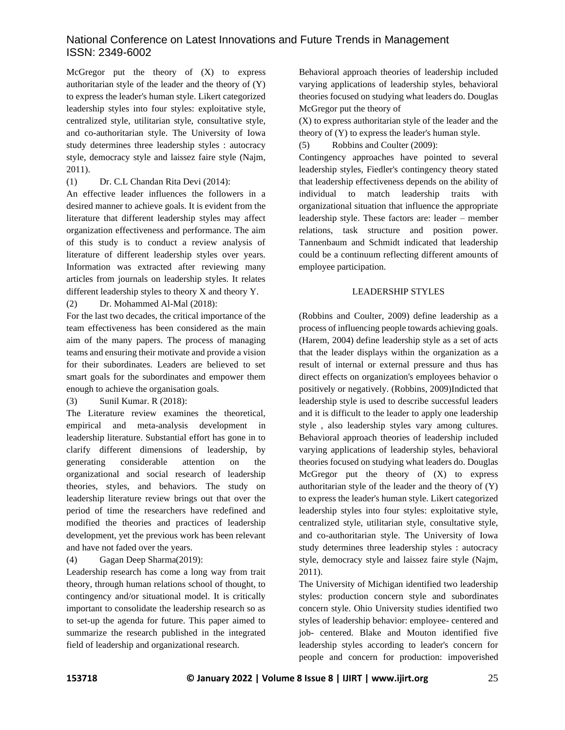McGregor put the theory of  $(X)$  to express authoritarian style of the leader and the theory of (Y) to express the leader's human style. Likert categorized leadership styles into four styles: exploitative style, centralized style, utilitarian style, consultative style, and co-authoritarian style. The University of Iowa study determines three leadership styles : autocracy style, democracy style and laissez faire style (Najm, 2011).

(1) Dr. C.L Chandan Rita Devi (2014):

An effective leader influences the followers in a desired manner to achieve goals. It is evident from the literature that different leadership styles may affect organization effectiveness and performance. The aim of this study is to conduct a review analysis of literature of different leadership styles over years. Information was extracted after reviewing many articles from journals on leadership styles. It relates different leadership styles to theory X and theory Y.

(2) Dr. Mohammed Al-Mal (2018):

For the last two decades, the critical importance of the team effectiveness has been considered as the main aim of the many papers. The process of managing teams and ensuring their motivate and provide a vision for their subordinates. Leaders are believed to set smart goals for the subordinates and empower them enough to achieve the organisation goals.

(3) Sunil Kumar. R (2018):

The Literature review examines the theoretical, empirical and meta-analysis development in leadership literature. Substantial effort has gone in to clarify different dimensions of leadership, by generating considerable attention on the organizational and social research of leadership theories, styles, and behaviors. The study on leadership literature review brings out that over the period of time the researchers have redefined and modified the theories and practices of leadership development, yet the previous work has been relevant and have not faded over the years.

(4) Gagan Deep Sharma(2019):

Leadership research has come a long way from trait theory, through human relations school of thought, to contingency and/or situational model. It is critically important to consolidate the leadership research so as to set-up the agenda for future. This paper aimed to summarize the research published in the integrated field of leadership and organizational research.

Behavioral approach theories of leadership included varying applications of leadership styles, behavioral theories focused on studying what leaders do. Douglas McGregor put the theory of

(X) to express authoritarian style of the leader and the theory of (Y) to express the leader's human style.

(5) Robbins and Coulter (2009):

Contingency approaches have pointed to several leadership styles, Fiedler's contingency theory stated that leadership effectiveness depends on the ability of individual to match leadership traits with organizational situation that influence the appropriate leadership style. These factors are: leader – member relations, task structure and position power. Tannenbaum and Schmidt indicated that leadership could be a continuum reflecting different amounts of employee participation.

## LEADERSHIP STYLES

(Robbins and Coulter, 2009) define leadership as a process of influencing people towards achieving goals. (Harem, 2004) define leadership style as a set of acts that the leader displays within the organization as a result of internal or external pressure and thus has direct effects on organization's employees behavior o positively or negatively. (Robbins, 2009)Indicted that leadership style is used to describe successful leaders and it is difficult to the leader to apply one leadership style , also leadership styles vary among cultures. Behavioral approach theories of leadership included varying applications of leadership styles, behavioral theories focused on studying what leaders do. Douglas McGregor put the theory of  $(X)$  to express authoritarian style of the leader and the theory of (Y) to express the leader's human style. Likert categorized leadership styles into four styles: exploitative style, centralized style, utilitarian style, consultative style, and co-authoritarian style. The University of Iowa study determines three leadership styles : autocracy style, democracy style and laissez faire style (Najm, 2011).

The University of Michigan identified two leadership styles: production concern style and subordinates concern style. Ohio University studies identified two styles of leadership behavior: employee- centered and job- centered. Blake and Mouton identified five leadership styles according to leader's concern for people and concern for production: impoverished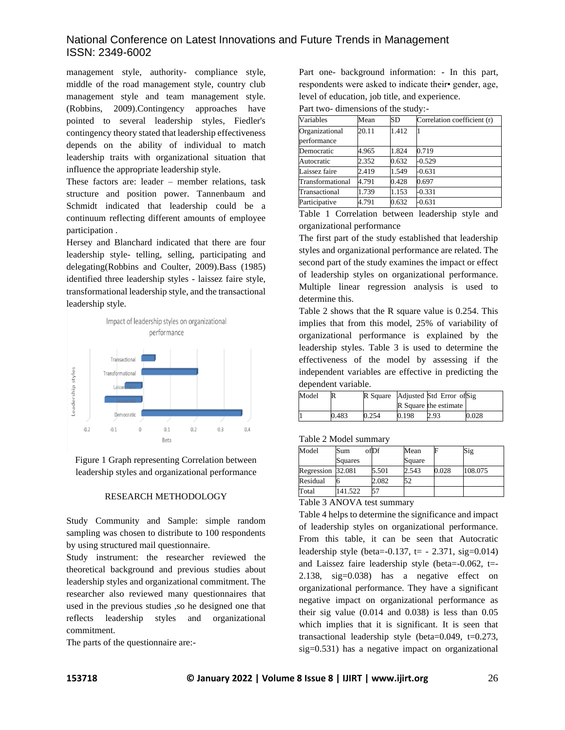management style, authority- compliance style, middle of the road management style, country club management style and team management style. (Robbins, 2009).Contingency approaches have pointed to several leadership styles, Fiedler's contingency theory stated that leadership effectiveness depends on the ability of individual to match leadership traits with organizational situation that influence the appropriate leadership style.

These factors are: leader – member relations, task structure and position power. Tannenbaum and Schmidt indicated that leadership could be a continuum reflecting different amounts of employee participation .

Hersey and Blanchard indicated that there are four leadership style- telling, selling, participating and delegating(Robbins and Coulter, 2009).Bass (1985) identified three leadership styles - laissez faire style, transformational leadership style, and the transactional leadership style.



Figure 1 Graph representing Correlation between leadership styles and organizational performance

#### RESEARCH METHODOLOGY

Study Community and Sample: simple random sampling was chosen to distribute to 100 respondents by using structured mail questionnaire.

Study instrument: the researcher reviewed the theoretical background and previous studies about leadership styles and organizational commitment. The researcher also reviewed many questionnaires that used in the previous studies ,so he designed one that reflects leadership styles and organizational commitment.

The parts of the questionnaire are:-

Part one- background information: - In this part, respondents were asked to indicate their• gender, age, level of education, job title, and experience.

Part two- dimensions of the study:-

| Variables                     | Mean  | SD    | Correlation coefficient (r) |
|-------------------------------|-------|-------|-----------------------------|
| Organizational<br>performance | 20.11 | 1.412 |                             |
| Democratic                    | 4.965 | 1.824 | 0.719                       |
| Autocratic                    | 2.352 | 0.632 | $-0.529$                    |
| Laissez faire                 | 2.419 | 1.549 | $-0.631$                    |
| Transformational              | 4.791 | 0.428 | 0.697                       |
| Transactional                 | 1.739 | 1.153 | $-0.331$                    |
| Participative                 | 4.791 | 0.632 | $-0.631$                    |

Table 1 Correlation between leadership style and organizational performance

The first part of the study established that leadership styles and organizational performance are related. The second part of the study examines the impact or effect of leadership styles on organizational performance. Multiple linear regression analysis is used to determine this.

Table 2 shows that the R square value is 0.254. This implies that from this model, 25% of variability of organizational performance is explained by the leadership styles. Table 3 is used to determine the effectiveness of the model by assessing if the independent variables are effective in predicting the dependent variable.

| Model | R     |       |       | R Square Adjusted Std Error of Sig<br>R Square the estimate |       |
|-------|-------|-------|-------|-------------------------------------------------------------|-------|
|       | 0.483 | 0.254 | 0.198 | 2.93                                                        | 0.028 |

Table 2 Model summary

| Model                                                      | Sum     | ofDf  | Mean   |       | Sig     |  |
|------------------------------------------------------------|---------|-------|--------|-------|---------|--|
|                                                            | Squares |       | Square |       |         |  |
| Regression 32.081                                          |         | 5.501 | 2.543  | 0.028 | 108.075 |  |
| Residual                                                   |         | 2.082 | 52     |       |         |  |
| Total                                                      | 141.522 | 57    |        |       |         |  |
| -- - -<br>$\sim$ $\sim$ $\sim$ $\sim$ $\sim$ $\sim$ $\sim$ |         |       |        |       |         |  |

### Table 3 ANOVA test summary

Table 4 helps to determine the significance and impact of leadership styles on organizational performance. From this table, it can be seen that Autocratic leadership style (beta= $-0.137$ , t=  $-2.371$ , sig= $0.014$ ) and Laissez faire leadership style (beta=-0.062, t=- 2.138, sig=0.038) has a negative effect on organizational performance. They have a significant negative impact on organizational performance as their sig value  $(0.014$  and  $0.038)$  is less than  $0.05$ which implies that it is significant. It is seen that transactional leadership style (beta=0.049, t=0.273, sig=0.531) has a negative impact on organizational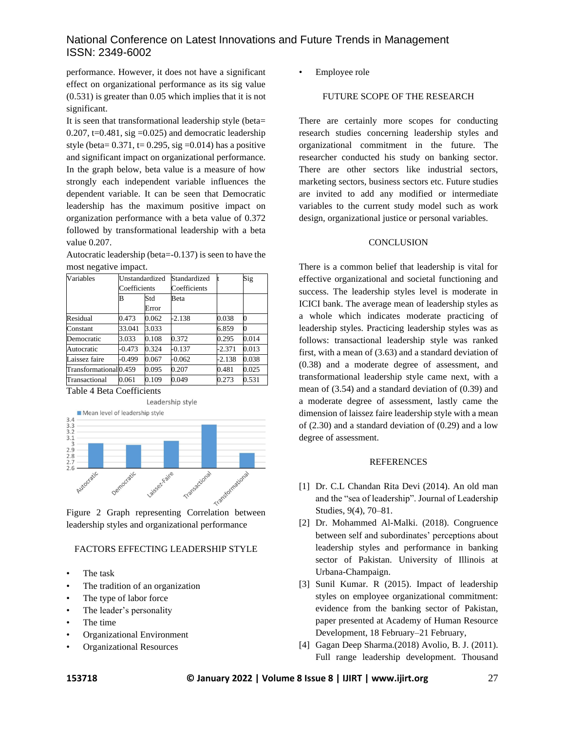performance. However, it does not have a significant effect on organizational performance as its sig value (0.531) is greater than 0.05 which implies that it is not significant.

It is seen that transformational leadership style (beta= 0.207, t=0.481, sig =0.025) and democratic leadership style (beta=  $0.371$ , t=  $0.295$ , sig = 0.014) has a positive and significant impact on organizational performance. In the graph below, beta value is a measure of how strongly each independent variable influences the dependent variable. It can be seen that Democratic leadership has the maximum positive impact on organization performance with a beta value of 0.372 followed by transformational leadership with a beta value 0.207.

Autocratic leadership (beta=-0.137) is seen to have the most negative impact.

| Variables              | Unstandardized<br>Coefficients |       | Standardized |          | Sig   |
|------------------------|--------------------------------|-------|--------------|----------|-------|
|                        |                                |       | Coefficients |          |       |
|                        | B                              | Std   | <b>Beta</b>  |          |       |
|                        |                                | Error |              |          |       |
| Residual               | 0.473                          | 0.062 | $-2.138$     | 0.038    |       |
| Constant               | 33.041                         | 3.033 |              | 6.859    |       |
| Democratic             | 3.033                          | 0.108 | 0.372        | 0.295    | 0.014 |
| Autocratic             | $-0.473$                       | 0.324 | $-0.137$     | $-2.371$ | 0.013 |
| Laissez faire          | -0.499                         | 0.067 | $-0.062$     | $-2.138$ | 0.038 |
| Transformational 0.459 |                                | 0.095 | 0.207        | 0.481    | 0.025 |
| Transactional          | 0.061                          | 0.109 | 0.049        | 0.273    | 0.531 |

Table 4 Beta Coefficients



leadership styles and organizational performance

## FACTORS EFFECTING LEADERSHIP STYLE

- The task
- The tradition of an organization
- The type of labor force
- The leader's personality
- The time
- Organizational Environment
- Organizational Resources

• Employee role

## FUTURE SCOPE OF THE RESEARCH

There are certainly more scopes for conducting research studies concerning leadership styles and organizational commitment in the future. The researcher conducted his study on banking sector. There are other sectors like industrial sectors, marketing sectors, business sectors etc. Future studies are invited to add any modified or intermediate variables to the current study model such as work design, organizational justice or personal variables.

#### **CONCLUSION**

There is a common belief that leadership is vital for effective organizational and societal functioning and success. The leadership styles level is moderate in ICICI bank. The average mean of leadership styles as a whole which indicates moderate practicing of leadership styles. Practicing leadership styles was as follows: transactional leadership style was ranked first, with a mean of (3.63) and a standard deviation of (0.38) and a moderate degree of assessment, and transformational leadership style came next, with a mean of (3.54) and a standard deviation of (0.39) and a moderate degree of assessment, lastly came the dimension of laissez faire leadership style with a mean of (2.30) and a standard deviation of (0.29) and a low degree of assessment.

#### REFERENCES

- [1] Dr. C.L Chandan Rita Devi (2014). An old man and the "sea of leadership". Journal of Leadership Studies, 9(4), 70–81.
- [2] Dr. Mohammed Al-Malki. (2018). Congruence between self and subordinates' perceptions about leadership styles and performance in banking sector of Pakistan. University of Illinois at Urbana-Champaign.
- [3] Sunil Kumar. R (2015). Impact of leadership styles on employee organizational commitment: evidence from the banking sector of Pakistan, paper presented at Academy of Human Resource Development, 18 February–21 February,
- [4] Gagan Deep Sharma.(2018) Avolio, B. J. (2011). Full range leadership development. Thousand